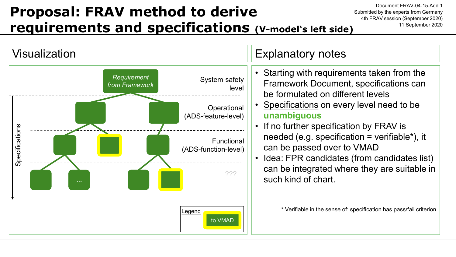## **Proposal: FRAV method to derive requirements and specifications (V-model's left side)**

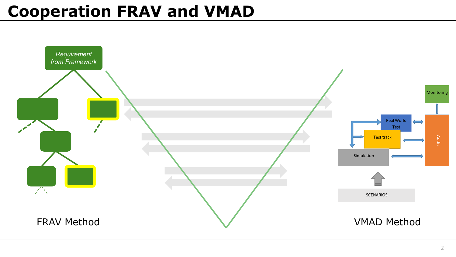## **Cooperation FRAV and VMAD**

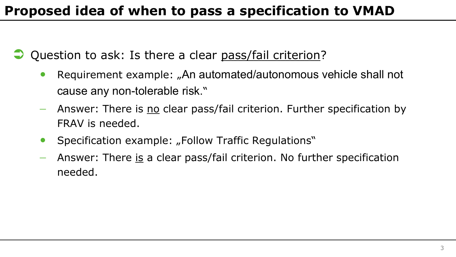## **Proposed idea of when to pass a specification to VMAD**

Question to ask: Is there a clear pass/fail criterion?

- Requirement example: "An automated/autonomous vehicle shall not cause any non-tolerable risk."
- − Answer: There is no clear pass/fail criterion. Further specification by FRAV is needed.
- Specification example: "Follow Traffic Regulations"
- Answer: There is a clear pass/fail criterion. No further specification needed.